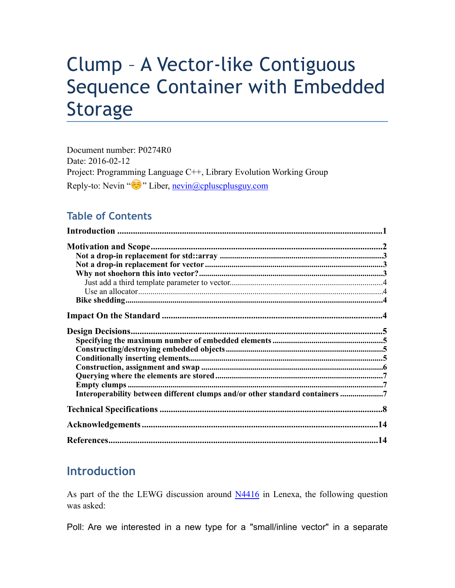# Clump – A Vector-like Contiguous Sequence Container with Embedded Storage

Document number: P0274R0 Date: 2016-02-12 Project: Programming Language C++, Library Evolution Working Group Reply-to: Nevin "۞" Liber, [nevin@cpluscplusguy.com](mailto:nevin@cplusplusguy.com?subject=Clump%2520-%2520A%2520Vector-like%2520Contiguous%2520Sequence%2520Container%2520with%2520Embedded%2520Storage)

### **Table of Contents**

| Interoperability between different clumps and/or other standard containers |
|----------------------------------------------------------------------------|
|                                                                            |
|                                                                            |
|                                                                            |

# **Introduction**

As part of the the LEWG discussion around [N4416](http://www.open-std.org/jtc1/sc22/wg21/docs/papers/2015/n4416.pdf) in Lenexa, the following question was asked:

Poll: Are we interested in a new type for a "small/inline vector" in a separate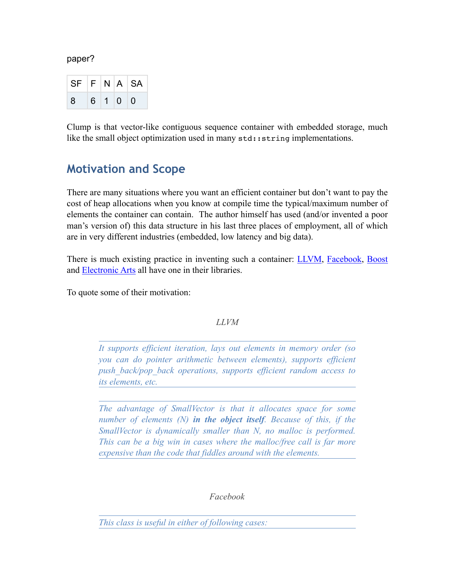paper?

|           |  | SF  F N A SA |
|-----------|--|--------------|
| 8 6 1 0 0 |  |              |

Clump is that vector-like contiguous sequence container with embedded storage, much like the small object optimization used in many  $\text{std}:\text{string implementations}.$ 

## **Motivation and Scope**

There are many situations where you want an efficient container but don't want to pay the cost of heap allocations when you know at compile time the typical/maximum number of elements the container can contain. The author himself has used (and/or invented a poor man's version of) this data structure in his last three places of employment, all of which are in very different industries (embedded, low latency and big data).

There is much existing practice in inventing such a container: **[LLVM](http://llvm.org/docs/ProgrammersManual.html#llvm-adt-smallvector-h)**, [Facebook,](https://github.com/facebook/folly/blob/master/folly/docs/small_vector.md) [Boost](http://www.boost.org/doc/libs/1_60_0/doc/html/container/non_standard_containers.html#container.non_standard_containers.small_vector) and [Electronic Arts](https://github.com/paulhodge/EASTL/blob/community/include/EASTL/fixed_vector.h) all have one in their libraries.

To quote some of their motivation:

#### *LLVM*

*It supports efficient iteration, lays out elements in memory order (so you can do pointer arithmetic between elements), supports efficient push\_back/pop\_back operations, supports efficient random access to its elements, etc.* 

*The advantage of SmallVector is that it allocates space for some number of elements (N) in the object itself. Because of this, if the SmallVector is dynamically smaller than N, no malloc is performed. This can be a big win in cases where the malloc/free call is far more expensive than the code that fiddles around with the elements.* 

*Facebook* 

*This class is useful in either of following cases:*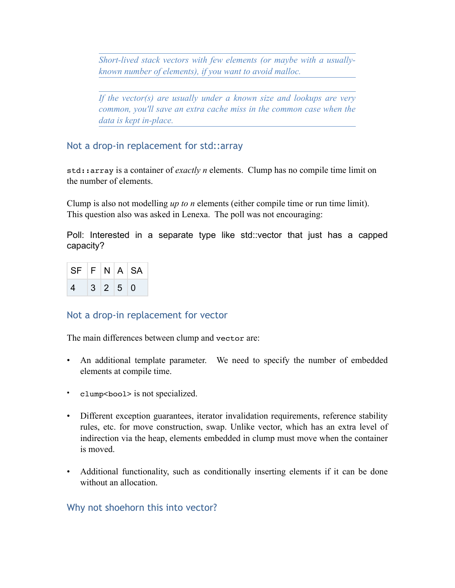*Short-lived stack vectors with few elements (or maybe with a usuallyknown number of elements), if you want to avoid malloc.* 

*If the vector(s) are usually under a known size and lookups are very common, you'll save an extra cache miss in the common case when the data is kept in-place.* 

Not a drop-in replacement for std::array

std::array is a container of *exactly n* elements. Clump has no compile time limit on the number of elements.

Clump is also not modelling *up to n* elements (either compile time or run time limit). This question also was asked in Lenexa. The poll was not encouraging:

Poll: Interested in a separate type like std::vector that just has a capped capacity?

| $SF$ $F$ $N$ $A$ $SA$ |  |         |  |
|-----------------------|--|---------|--|
| 4                     |  | 3 2 5 0 |  |

### Not a drop-in replacement for vector

The main differences between clump and vector are:

- An additional template parameter. We need to specify the number of embedded elements at compile time.
- clump<br/>bool> is not specialized.
- Different exception guarantees, iterator invalidation requirements, reference stability rules, etc. for move construction, swap. Unlike vector, which has an extra level of indirection via the heap, elements embedded in clump must move when the container is moved.
- Additional functionality, such as conditionally inserting elements if it can be done without an allocation

### Why not shoehorn this into vector?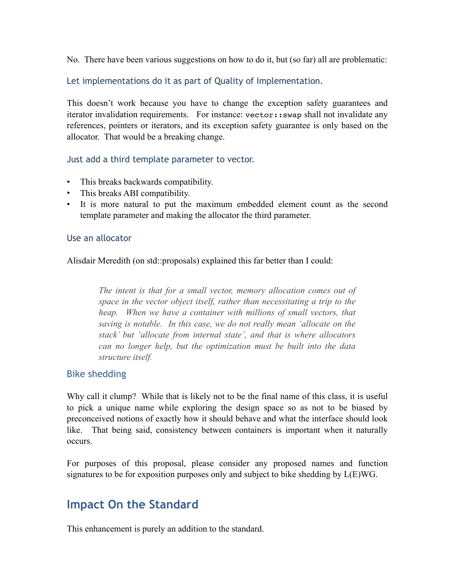No. There have been various suggestions on how to do it, but (so far) all are problematic:

Let implementations do it as part of Quality of Implementation.

This doesn't work because you have to change the exception safety guarantees and iterator invalidation requirements. For instance: vector::swap shall not invalidate any references, pointers or iterators, and its exception safety guarantee is only based on the allocator. That would be a breaking change.

#### Just add a third template parameter to vector.

- This breaks backwards compatibility.
- This breaks ABI compatibility.
- It is more natural to put the maximum embedded element count as the second template parameter and making the allocator the third parameter.

#### Use an allocator

Alisdair Meredith (on std::proposals) explained this far better than I could:

*The intent is that for a small vector, memory allocation comes out of space in the vector object itself, rather than necessitating a trip to the heap.* When we have a container with millions of small vectors, that *saving is notable. In this case, we do not really mean 'allocate on the stack' but 'allocate from internal state', and that is where allocators can no longer help, but the optimization must be built into the data structure itself.* 

#### Bike shedding

Why call it clump? While that is likely not to be the final name of this class, it is useful to pick a unique name while exploring the design space so as not to be biased by preconceived notions of exactly how it should behave and what the interface should look like. That being said, consistency between containers is important when it naturally occurs.

For purposes of this proposal, please consider any proposed names and function signatures to be for exposition purposes only and subject to bike shedding by L(E)WG.

## **Impact On the Standard**

This enhancement is purely an addition to the standard.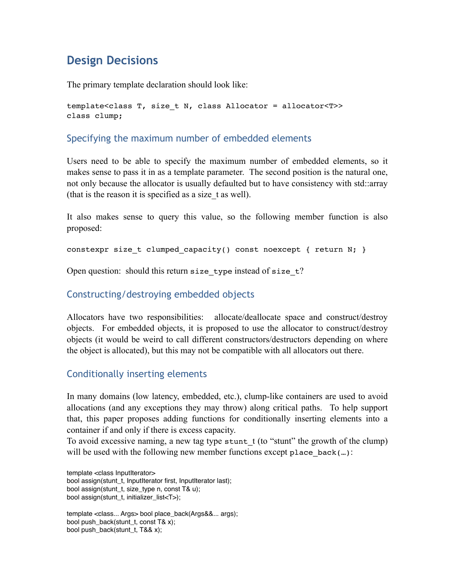# **Design Decisions**

The primary template declaration should look like:

```
template<class T, size_t N, class Allocator = allocator<T>>
class clump;
```
#### Specifying the maximum number of embedded elements

Users need to be able to specify the maximum number of embedded elements, so it makes sense to pass it in as a template parameter. The second position is the natural one, not only because the allocator is usually defaulted but to have consistency with std::array (that is the reason it is specified as a size\_t as well).

It also makes sense to query this value, so the following member function is also proposed:

constexpr size t clumped capacity() const noexcept { return N; }

Open question: should this return size type instead of size  $t$ ?

#### Constructing/destroying embedded objects

Allocators have two responsibilities: allocate/deallocate space and construct/destroy objects. For embedded objects, it is proposed to use the allocator to construct/destroy objects (it would be weird to call different constructors/destructors depending on where the object is allocated), but this may not be compatible with all allocators out there.

#### Conditionally inserting elements

In many domains (low latency, embedded, etc.), clump-like containers are used to avoid allocations (and any exceptions they may throw) along critical paths. To help support that, this paper proposes adding functions for conditionally inserting elements into a container if and only if there is excess capacity.

To avoid excessive naming, a new tag type stunt  $t$  (to "stunt" the growth of the clump) will be used with the following new member functions except place  $\text{back}(\dots)$ :

template <class InputIterator> bool assign(stunt\_t, InputIterator first, InputIterator last); bool assign(stunt\_t, size\_type n, const T& u); bool assign(stunt\_t, initializer\_list<T>);

template <class... Args> bool place\_back(Args&&... args); bool push\_back(stunt\_t, const T& x); bool push\_back(stunt\_t, T&& x);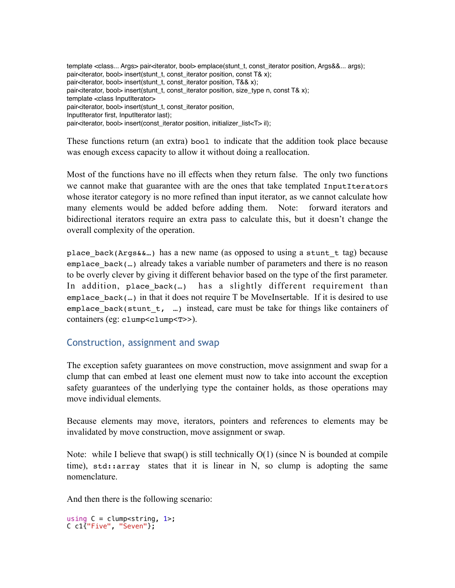template <class... Args> pair<iterator, bool> emplace(stunt\_t, const\_iterator position, Args&&... args); pair<iterator, bool> insert(stunt\_t, const\_iterator position, const T& x); pair<iterator, bool> insert(stunt\_t, const\_iterator position, T&& x); pair<iterator, bool> insert(stunt\_t, const\_iterator position, size\_type n, const T& x); template <class InputIterator> pair<iterator, bool> insert(stunt\_t, const\_iterator position, InputIterator first, InputIterator last); pair<iterator, bool> insert(const\_iterator position, initializer\_list<T> il);

These functions return (an extra) bool to indicate that the addition took place because was enough excess capacity to allow it without doing a reallocation.

Most of the functions have no ill effects when they return false. The only two functions we cannot make that guarantee with are the ones that take templated InputIterators whose iterator category is no more refined than input iterator, as we cannot calculate how many elements would be added before adding them. Note: forward iterators and bidirectional iterators require an extra pass to calculate this, but it doesn't change the overall complexity of the operation.

place\_back(Args&&…) has a new name (as opposed to using a stunt\_t tag) because  $emplace$  back(...) already takes a variable number of parameters and there is no reason to be overly clever by giving it different behavior based on the type of the first parameter. In addition, place back(...) has a slightly different requirement than emplace\_back(...) in that it does not require  $T$  be MoveInsertable. If it is desired to use emplace\_back(stunt\_t, …) instead, care must be take for things like containers of containers (eg: clump<clump<r>>>).

### Construction, assignment and swap

The exception safety guarantees on move construction, move assignment and swap for a clump that can embed at least one element must now to take into account the exception safety guarantees of the underlying type the container holds, as those operations may move individual elements.

Because elements may move, iterators, pointers and references to elements may be invalidated by move construction, move assignment or swap.

Note: while I believe that swap() is still technically  $O(1)$  (since N is bounded at compile time),  $std:array$  states that it is linear in N, so clump is adopting the same nomenclature.

And then there is the following scenario:

```
using C = clump<string, 1>;
C c1{"Five", "Seven"};
```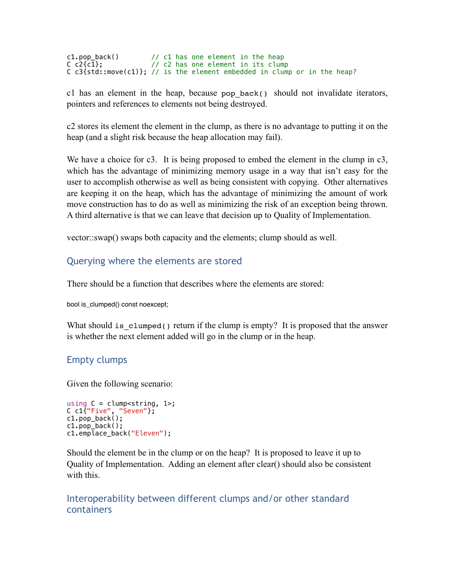```
c1.pop_back() // c1 has one element in the heap
C c2{c1}; // c2 has one element in its clump
C c3{std::move(c1)}; // is the element embedded in clump or in the heap?
```
c1 has an element in the heap, because pop back() should not invalidate iterators, pointers and references to elements not being destroyed.

c2 stores its element the element in the clump, as there is no advantage to putting it on the heap (and a slight risk because the heap allocation may fail).

We have a choice for c3. It is being proposed to embed the element in the clump in c3, which has the advantage of minimizing memory usage in a way that isn't easy for the user to accomplish otherwise as well as being consistent with copying. Other alternatives are keeping it on the heap, which has the advantage of minimizing the amount of work move construction has to do as well as minimizing the risk of an exception being thrown. A third alternative is that we can leave that decision up to Quality of Implementation.

vector::swap() swaps both capacity and the elements; clump should as well.

### Querying where the elements are stored

There should be a function that describes where the elements are stored:

bool is\_clumped() const noexcept;

What should is clumped() return if the clump is empty? It is proposed that the answer is whether the next element added will go in the clump or in the heap.

### Empty clumps

Given the following scenario:

```
using C = clump \leq tring, 1>;
C c1{"Five", "Seven"}; 
c1.pop_back(); 
c1.pop_back(); 
c1.emplace_back("Eleven");
```
Should the element be in the clump or on the heap? It is proposed to leave it up to Quality of Implementation. Adding an element after clear() should also be consistent with this.

### Interoperability between different clumps and/or other standard containers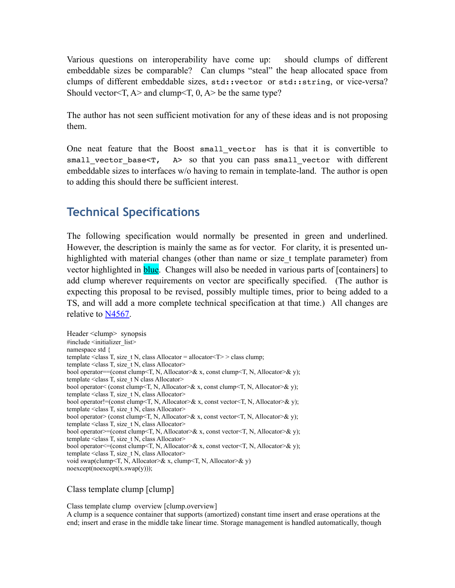Various questions on interoperability have come up: should clumps of different embeddable sizes be comparable? Can clumps "steal" the heap allocated space from clumps of different embeddable sizes, std::vector or std::string, or vice-versa? Should vector<T,  $A$ > and clump<T, 0,  $A$ > be the same type?

The author has not seen sufficient motivation for any of these ideas and is not proposing them.

One neat feature that the Boost small\_vector has is that it is convertible to small vector base $\leq$   $\mathbb{R}$ , A> so that you can pass small vector with different embeddable sizes to interfaces w/o having to remain in template-land. The author is open to adding this should there be sufficient interest.

# **Technical Specifications**

The following specification would normally be presented in green and underlined. However, the description is mainly the same as for vector. For clarity, it is presented unhighlighted with material changes (other than name or size\_t template parameter) from vector highlighted in **blue**. Changes will also be needed in various parts of [containers] to add clump wherever requirements on vector are specifically specified. (The author is expecting this proposal to be revised, possibly multiple times, prior to being added to a TS, and will add a more complete technical specification at that time.) All changes are relative to [N4567.](http://www.open-std.org/jtc1/sc22/wg21/docs/papers/2015/n4567.pdf)

Header <clump> synopsis #include <initializer\_list> namespace std { template <class T, size t N, class Allocator = allocator  $\leq T$  > class clump; template <class T, size\_t N, class Allocator> bool operator==(const clump<T, N, Allocator>& x, const clump<T, N, Allocator>& y); template <class T, size t N class Allocator> bool operator< (const clump<T, N, Allocator>& x, const clump<T, N, Allocator>& y); template <class T, size t N, class Allocator> bool operator!=(const clump<T, N, Allocator>& x, const vector<T, N, Allocator>& y); template <class T, size t N, class Allocator> bool operator> (const clump<T, N, Allocator>& x, const vector<T, N, Allocator>& y); template <class T, size  $t$  N, class Allocator> bool operator>=(const clump<T, N, Allocator>& x, const vector<T, N, Allocator>& y); template <class T, size t N, class Allocator> bool operator  $\leq$  (const clump $\leq$ , N, Allocator $\geq$ & x, const vector  $\leq$ , N, Allocator $\geq$ & y); template <class T, size\_t N, class Allocator> void swap(clump<T, N, Allocator>& x, clump<T, N, Allocator>& y) noexcept(noexcept(x.swap(y)));

#### Class template clump [clump]

Class template clump overview [clump.overview] A clump is a sequence container that supports (amortized) constant time insert and erase operations at the end; insert and erase in the middle take linear time. Storage management is handled automatically, though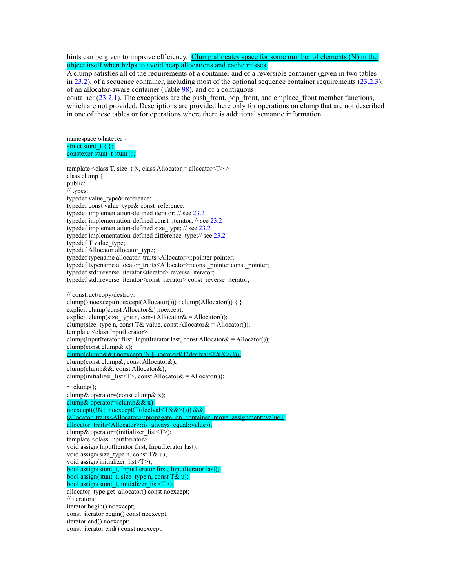hints can be given to improve efficiency. Clump allocates space for some number of elements (N) in the object itself when helps to avoid heap allocations and cache misses.

A clump satisfies all of the requirements of a container and of a reversible container (given in two tables in 23.2), of a sequence container, including most of the optional sequence container requirements (23.2.3), of an allocator-aware container (Table 98), and of a contiguous

container  $(23.2.1)$ . The exceptions are the push front, pop front, and emplace front member functions, which are not provided. Descriptions are provided here only for operations on clump that are not described in one of these tables or for operations where there is additional semantic information.

namespace whatever { struct stunt\_t  $\{\}$ ; constexpr stunt  $t$  stunt $\{\};$ 

template <class T, size  $t$  N, class Allocator = allocator < $T$ >>> class clump { public: // types: typedef value type & reference; typedef const value type & const reference; typedef implementation-defined iterator; // see 23.2 typedef implementation-defined const\_iterator; // see 23.2 typedef implementation-defined size\_type; // see 23.2 typedef implementation-defined difference type;// see 23.2 typedef T value\_type; typedef Allocator allocator\_type; typedef typename allocator\_traits<Allocator>::pointer pointer; typedef typename allocator\_traits<Allocator>::const\_pointer const\_pointer; typedef std::reverse\_iterator<iterator> reverse\_iterator; typedef std::reverse\_iterator<const\_iterator> const\_reverse\_iterator; // construct/copy/destroy: clump() noexcept(noexcept(Allocator())) : clump(Allocator()) { } explicit clump(const Allocator&) noexcept; explicit clump(size type n, const Allocator $\&$  = Allocator()); clump(size\_type n, const T& value, const Allocator $\&$  = Allocator()); template <class InputIterator> clump(InputIterator first, InputIterator last, const Allocator $\&$  = Allocator()); clump(const clump& x); clump(clump&&) noexcept(!N || noexcept(T(declval<T&&>())); clump(const clump&, const Allocator&); clump(clump&&, const Allocator&); clump(initializer\_list<T>, const Allocator $\&$  = Allocator());  $\sim$  clump(); clump& operator=(const clump& x); clump & operator= $(clump&x x)$ noexcept((!N || noexcept(T(declval<T&&>())) && (allocator\_traits<Allocator>::propagate\_on\_container\_move\_assignment::value || allocator\_traits<Allocator>::is\_always\_equal::value)); clump & operator=(initializer\_list <T >); template <class InputIterator> void assign(InputIterator first, InputIterator last); void assign(size type n, const  $T& u$ ); void assign(initializer\_list<T>); bool assign(stunt\_t, InputIterator first, InputIterator last); bool assign(stunt\_t, size\_type n, const  $T\& u$ ); bool assign(stunt\_t, initializer\_list  $\leq$ T $>$ ); allocator type get allocator() const noexcept; // iterators: iterator begin() noexcept; const iterator begin() const noexcept; iterator end() noexcept; const iterator end() const noexcept;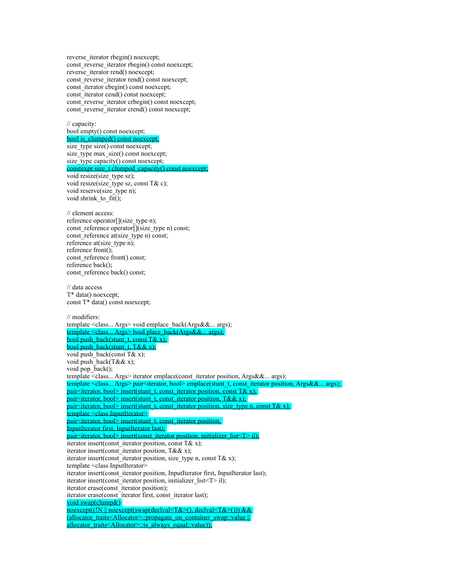reverse iterator rbegin() noexcept; const reverse iterator rbegin() const noexcept; reverse iterator rend() noexcept; const reverse iterator rend() const noexcept; const\_iterator cbegin() const noexcept; const<sup>-</sup>iterator cend() const noexcept; const reverse iterator crbegin() const noexcept; const\_reverse\_iterator crend() const noexcept;

// capacity: bool empty() const noexcept; bool is\_clumped() const noexcept; size\_type size() const noexcept; size type max size() const noexcept; size\_type capacity() const noexcept; constexpr size\_t clumped\_capacity() const noexcept; void resize(size\_type sz); void resize(size type sz, const T& c); void reserve(size\_type n); void shrink to  $fit()$ ;

// element access: reference operator[](size\_type n); const reference operator $\sqrt{\frac{s}{s}}$  (size type n) const; const<sup>r</sup>eference at(size\_type n) const; reference at(size type n); reference front(); const\_reference front() const; reference back(); const reference back() const;

// data access T\* data() noexcept; const T\* data() const noexcept;

// modifiers: template <class... Args> void emplace\_back(Args&&... args); template <class... Args> bool place\_back(Args&&... args); bool push\_back(stunt\_t, const T& x); bool push\_back(stunt\_t,  $T&& x$ ); void push back(const  $T& x$ ); void push\_back( $T&&x$ ); void pop  $\bar{b}$ ack(); template <class... Args> iterator emplace(const\_iterator position, Args&&... args); template <class... Args> pair<iterator, bool> emplace(stunt\_t, const\_iterator position, Args&&... args); pair<iliterator, bool> insert(stunt\_t, const\_iterator position, const T& x); pair<iterator, bool> insert(stunt\_t, const\_iterator position, T&& x); pair<iterator, bool> insert(stunt\_t, const\_iterator position, size\_type n, const T& x); template <class InputIterator> pair<iterator, bool> insert(stunt\_t, const\_iterator position, InputIterator first, InputIterator last); mpurierator inst, inpurierator rast),<br>pair<iterator, bool> insert(const\_iterator position, initializer\_list<T> il); iterator insert(const\_iterator position, const  $T& x$ ); iterator insert(const\_iterator position,  $T&x$  x); iterator insert(const\_iterator position, size\_type n, const T& x); template <class InputIterator> iterator insert(const\_iterator position, InputIterator first, InputIterator last); iterator insert(const\_iterator position, initializer\_list<T> il); iterator erase(const\_iterator position); iterator erase(const\_iterator first, const\_iterator last); void swap(clump&) noexcept((!N || noexcept(swap(declval<T&>(), declval<T&>())) && (allocator\_traits<Allocator>::propagate\_on\_container\_swap::value || allocator\_traits<Allocator>::is\_always\_equal::value));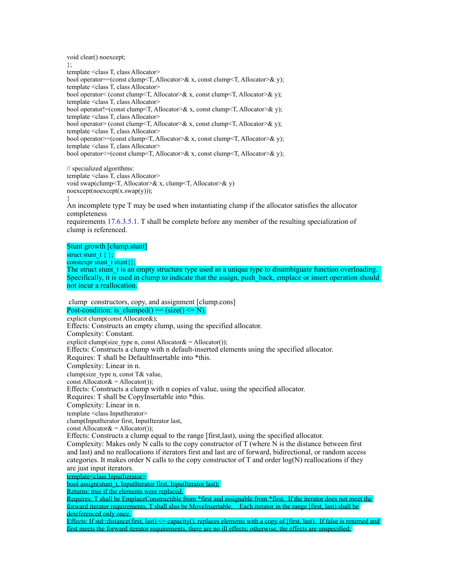void clear() noexcept; }; template <class T, class Allocator> bool operator==(const clump<T, Allocator>& x, const clump<T, Allocator>& y); template <class T, class Allocator> bool operator< (const clump<T, Allocator>& x, const clump<T, Allocator>& y); template <class T, class Allocator> bool operator!=(const clump<T, Allocator>& x, const clump<T, Allocator>& y); template <class T, class Allocator> bool operator> (const clump<T, Allocator>& x, const clump<T, Allocator>& y); template <class T, class Allocator> bool operator>=(const clump<T, Allocator>& x, const clump<T, Allocator>& y); template <class T, class Allocator> bool operator<=(const clump<T, Allocator>& x, const clump<T, Allocator>& y);

// specialized algorithms: template <class T, class Allocator> void swap(clump<T, Allocator>& x, clump<T, Allocator>& y) noexcept(noexcept(x.swap(y))); }

An incomplete type T may be used when instantiating clump if the allocator satisfies the allocator completeness

requirements 17.6.3.5.1. T shall be complete before any member of the resulting specialization of clump is referenced.

Stunt growth [clump.stunt]

struct stunt  $t \in \}$ : constexpr stunt  $\{$  stunt $\{\}$ ;

The struct stunt t is an empty structure type used as a unique type to disambiguate function overloading. Specifically, it is used in clump to indicate that the assign, push\_back, emplace or insert operation should not incur a reallocation.

 clump constructors, copy, and assignment [clump.cons] Post-condition: is clumped() ==  $(size() \le N)$ . explicit clump(const Allocator&); Effects: Constructs an empty clump, using the specified allocator. Complexity: Constant. explicit clump(size\_type n, const Allocator $&$  = Allocator()); Effects: Constructs a clump with n default-inserted elements using the specified allocator. Requires: T shall be DefaultInsertable into \*this. Complexity: Linear in n. clump(size\_type n, const T& value, const Allocator $&=$  Allocator()); Effects: Constructs a clump with n copies of value, using the specified allocator. Requires: T shall be CopyInsertable into \*this. Complexity: Linear in n. template <class InputIterator> clump(InputIterator first, InputIterator last, const Allocator $&=$  Allocator()); Effects: Constructs a clump equal to the range [first,last), using the specified allocator. Complexity: Makes only N calls to the copy constructor of T (where N is the distance between first and last) and no reallocations if iterators first and last are of forward, bidirectional, or random access categories. It makes order N calls to the copy constructor of T and order  $log(N)$  reallocations if they are just input iterators. template<class InputIterator> bool assign(stunt\_t, InputIterator first, InputIterator last); Returns: true if the elements were replaced. Requires: T shall be EmplaceConstructible from \*first and assignable from \*first. If the iterator does not meet the

forward iterator requirements, T shall also be MoveInsertable. Each iterator in the range [first, last) shall be dereferenced only once.

Effects: If std::distance(first, last)  $\leq$  capacity(), replaces elements with a copy of [first, last). If false is returned and first meets the forward iterator requirements, there are no ill effects; otherwise, the effects are unspecified.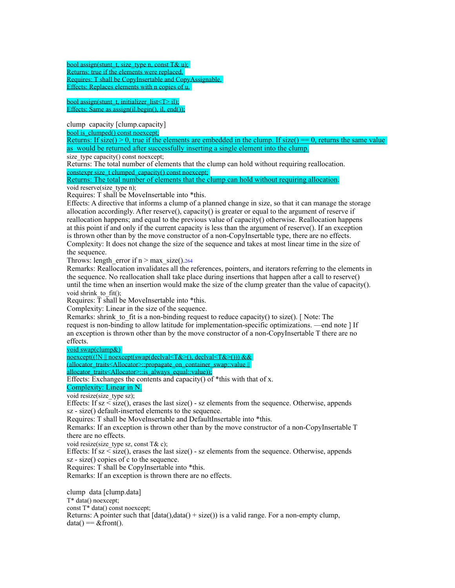bool assign(stunt\_t, size\_type n, const T& u); Returns: true if the elements were replaced. Requires: T shall be CopyInsertable and CopyAssignable. Effects: Replaces elements with n copies of u.

bool assign(stunt\_t, initializer\_list  $\leq$  il); Effects: Same as  $\overline{assign}()$ , il, end $()$ ;

clump capacity [clump.capacity]

bool is\_clumped() const noexcept;

Returns: If  $size() > 0$ , true if the elements are embedded in the clump. If  $size() == 0$ , returns the same value as would be returned after successfully inserting a single element into the clump.

size  $\overline{type}$  capacity() const noexcept:

Returns: The total number of elements that the clump can hold without requiring reallocation. constexpr size t clumped capacity() const noexcept;

Returns: The total number of elements that the clump can hold without requiring allocation. void reserve(size\_type n);

Requires: T shall be MoveInsertable into \*this.

Effects: A directive that informs a clump of a planned change in size, so that it can manage the storage allocation accordingly. After reserve(), capacity() is greater or equal to the argument of reserve if reallocation happens; and equal to the previous value of capacity() otherwise. Reallocation happens at this point if and only if the current capacity is less than the argument of reserve(). If an exception is thrown other than by the move constructor of a non-CopyInsertable type, there are no effects. Complexity: It does not change the size of the sequence and takes at most linear time in the size of the sequence.

Throws: length error if  $n > max$  size().264

Remarks: Reallocation invalidates all the references, pointers, and iterators referring to the elements in the sequence. No reallocation shall take place during insertions that happen after a call to reserve() until the time when an insertion would make the size of the clump greater than the value of capacity(). void shrink to  $fit()$ ;

Requires:  $\overline{T}$  shall be MoveInsertable into \*this.

Complexity: Linear in the size of the sequence.

Remarks: shrink to fit is a non-binding request to reduce capacity() to size(). [ Note: The request is non-binding to allow latitude for implementation-specific optimizations. —end note ] If an exception is thrown other than by the move constructor of a non-CopyInsertable T there are no effects.

void swap(clump&)

noexcept((!N || noexcept(swap(declval<T&>(), declval<T&>())) &&

(allocator\_traits<Allocator>::propagate\_on\_container\_swap::value ||

allocator\_traits<Allocator>::is\_always\_equal::value)); Effects: Exchanges the contents and capacity() of  $*$ this with that of x.

Complexity: Linear in N.

void resize(size\_type sz);

Effects: If  $sz \leq size()$ , erases the last size() - sz elements from the sequence. Otherwise, appends sz - size() default-inserted elements to the sequence.

Requires: T shall be MoveInsertable and DefaultInsertable into \*this.

Remarks: If an exception is thrown other than by the move constructor of a non-CopyInsertable T there are no effects.

void resize(size type sz, const  $T&c$ );

Effects: If  $sz \leq size()$ , erases the last  $size()$  -  $sz$  elements from the sequence. Otherwise, appends sz - size() copies of c to the sequence.

Requires: T shall be CopyInsertable into \*this.

Remarks: If an exception is thrown there are no effects.

clump data [clump.data]

T\* data() noexcept;

const T\* data() const noexcept;

Returns: A pointer such that  $[data()$ ,data $( ) + size( ) )$  is a valid range. For a non-empty clump,  $data() == & front()$ .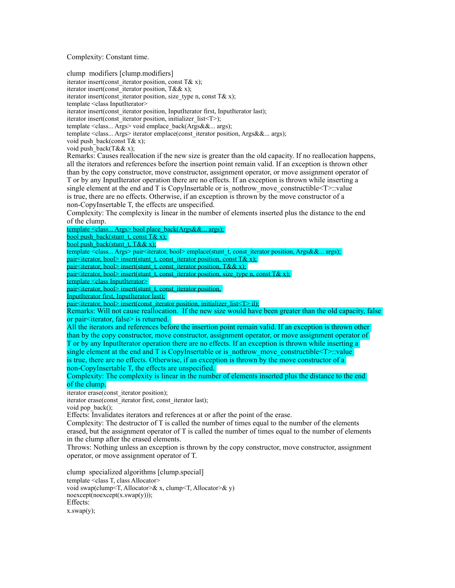Complexity: Constant time.

clump modifiers [clump.modifiers]

iterator insert(const\_iterator position, const T& x);

iterator insert(const\_iterator position, T&& x);

iterator insert(const\_iterator position, size\_type n, const T& x);

template <class InputIterator>

iterator insert(const\_iterator position, InputIterator first, InputIterator last);

iterator insert(const\_iterator position, initializer\_list<T>);

template <class... Args> void emplace\_back(Args&&... args);

template <class... Args> iterator emplace(const\_iterator position, Args&&... args);

void push back(const  $T& x$ );

void push back(T&& x);

Remarks: Causes reallocation if the new size is greater than the old capacity. If no reallocation happens, all the iterators and references before the insertion point remain valid. If an exception is thrown other than by the copy constructor, move constructor, assignment operator, or move assignment operator of T or by any InputIterator operation there are no effects. If an exception is thrown while inserting a single element at the end and T is CopyInsertable or is nothrow move constructible  $\leq T$ : value is true, there are no effects. Otherwise, if an exception is thrown by the move constructor of a non-CopyInsertable T, the effects are unspecified.

Complexity: The complexity is linear in the number of elements inserted plus the distance to the end of the clump.

template <class... Args> bool place\_back(Args&&... args);

bool push\_back(stunt\_t, const T& x);

bool push\_back(stunt\_t, T&& x);

template <class... Args> pair<iterator, bool> emplace(stunt\_t, const\_iterator position, Args&&... args); pair<iterator, bool> insert(stunt\_t, const\_iterator position, const T& x);

pair<iterator, bool> insert(stunt\_t, const\_iterator position, T&& x);

pair<iterator, bool> insert(stunt\_t, const\_iterator position, size\_type n, const T& x);

template <class InputIterator>

 $pair \leq iterator, bool$  insert(stunt\_t, const\_iterator position,

InputIterator first, InputIterator last);

pair<iterator, bool> insert(const\_iterator position, initializer\_list<T> il);

Remarks: Will not cause reallocation. If the new size would have been greater than the old capacity, false or pair<iterator, false> is returned.

All the iterators and references before the insertion point remain valid. If an exception is thrown other than by the copy constructor, move constructor, assignment operator, or move assignment operator of T or by any InputIterator operation there are no effects. If an exception is thrown while inserting a single element at the end and T is CopyInsertable or is nothrow move constructible<T>::value is true, there are no effects. Otherwise, if an exception is thrown by the move constructor of a non-CopyInsertable T, the effects are unspecified.

Complexity: The complexity is linear in the number of elements inserted plus the distance to the end of the clump.

iterator erase(const\_iterator position);

iterator erase(const\_iterator first, const\_iterator last);

void pop\_back();

Effects: Invalidates iterators and references at or after the point of the erase.

Complexity: The destructor of T is called the number of times equal to the number of the elements erased, but the assignment operator of T is called the number of times equal to the number of elements in the clump after the erased elements.

Throws: Nothing unless an exception is thrown by the copy constructor, move constructor, assignment operator, or move assignment operator of T.

clump specialized algorithms [clump.special] template <class T, class Allocator> void swap(clump<T, Allocator>& x, clump<T, Allocator>& y) noexcept(noexcept(x.swap(y))); Effects:  $x.swap(y);$